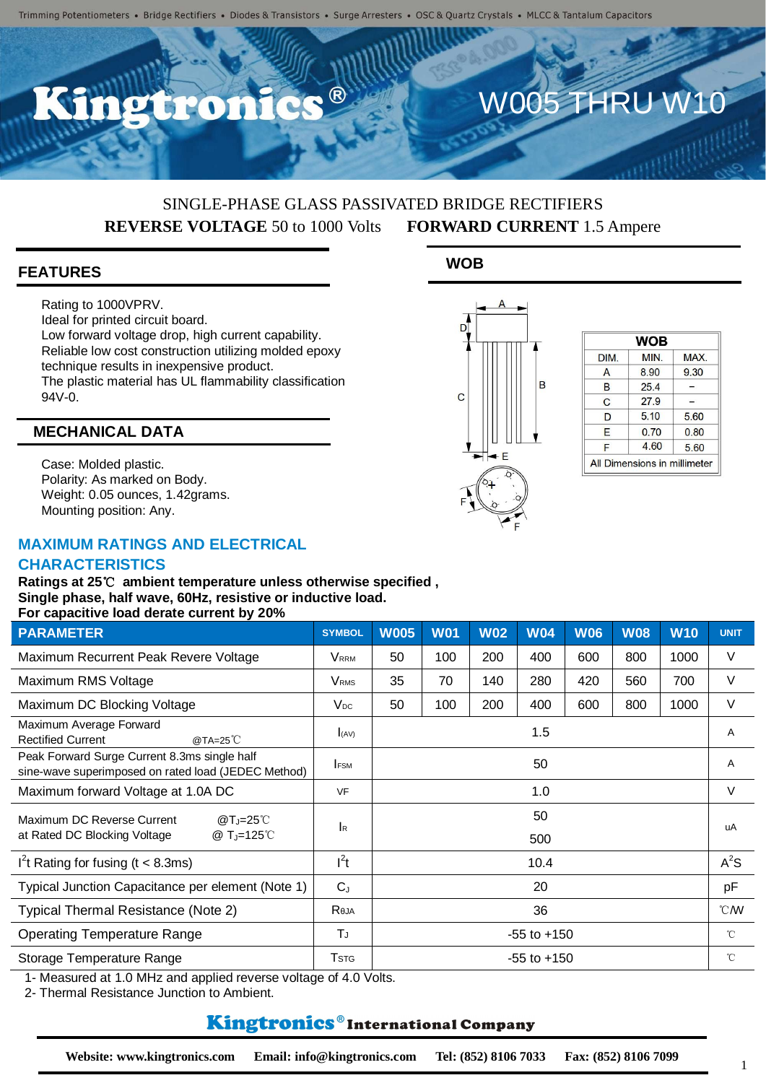## SINGLE-PHASE GLASS PASSIVATED BRIDGE RECTIFIERS **REVERSE VOLTAGE** 50 to 1000 Volts **FORWARD CURRENT** 1.5 Ampere

### **FEATURES**

Rating to 1000VPRV. Ideal for printed circuit board. Low forward voltage drop, high current capability. Reliable low cost construction utilizing molded epoxy technique results in inexpensive product. The plastic material has UL flammability classification  $94V-0.$ 

### **MECHANICAL DATA**

Case: Molded plastic. Polarity: As marked on Body. Weight: 0.05 ounces, 1.42grams. Mounting position: Any.

## **MAXIMUM RATINGS AND ELECTRICAL**

#### **CHARACTERISTICS**

**Ratings at 25**℃ **ambient temperature unless otherwise specified , Single phase, half wave, 60Hz, resistive or inductive load. For capacitive load derate current by 20%**

| <b>PARAMETER</b>                                                                                    | <b>SYMBOL</b>                | <b>W005</b>     | <b>W01</b> | <b>W02</b> | <b>W04</b>      | <b>W06</b>       | <b>W08</b>   | <b>W10</b> | <b>UNIT</b>  |
|-----------------------------------------------------------------------------------------------------|------------------------------|-----------------|------------|------------|-----------------|------------------|--------------|------------|--------------|
| Maximum Recurrent Peak Revere Voltage                                                               | <b>V</b> <sub>RRM</sub>      | 50              | 100        | 200        | 400             | 600              | 800          | 1000       | V            |
| Maximum RMS Voltage                                                                                 | <b>V</b> <sub>RMS</sub>      | 35              | 70         | 140        | 280             | 420              | 560          | 700        | V            |
| Maximum DC Blocking Voltage                                                                         | $V_{DC}$                     | 50              | 100        | 200        | 400             | 600              | 800          | 1000       | V            |
| Maximum Average Forward<br><b>Rectified Current</b><br>@TA=25 $^{\circ}$ C                          | I(AV)                        | 1.5             |            |            |                 |                  |              | Α          |              |
| Peak Forward Surge Current 8.3ms single half<br>sine-wave superimposed on rated load (JEDEC Method) | <b>FSM</b>                   | 50              |            |            |                 |                  | A            |            |              |
| Maximum forward Voltage at 1.0A DC                                                                  | <b>VF</b>                    | 1.0             |            |            |                 |                  | V            |            |              |
| Maximum DC Reverse Current<br>$@T_J=25^{\circ}$                                                     | <b>I</b> R                   | 50<br>500       |            |            |                 |                  |              |            | uA           |
| at Rated DC Blocking Voltage<br>@ $T_{J} = 125^{\circ}C$                                            |                              |                 |            |            |                 |                  |              |            |              |
| I <sup>2</sup> t Rating for fusing ( $t < 8.3$ ms)                                                  | $l^2t$                       | 10.4            |            |            |                 |                  | $A^2S$       |            |              |
| Typical Junction Capacitance per element (Note 1)                                                   | $C_{J}$                      | 20              |            |            |                 |                  | pF           |            |              |
| Typical Thermal Resistance (Note 2)                                                                 | Reja                         | 36              |            |            |                 | $\mathcal{C}$ MV |              |            |              |
| <b>Operating Temperature Range</b>                                                                  | ТJ                           |                 |            |            | $-55$ to $+150$ |                  |              |            | $^{\circ}$ C |
| Storage Temperature Range                                                                           | <b>T</b> <sub>STG</sub><br>. | $-55$ to $+150$ |            |            |                 |                  | $^{\circ}$ C |            |              |

1- Measured at 1.0 MHz and applied reverse voltage of 4.0 Volts.

2- Thermal Resistance Junction to Ambient.

## **Kingtronics**®International Company

1





| <b>WOB</b> |      |  |  |  |  |  |
|------------|------|--|--|--|--|--|
| MIN.       | MAX. |  |  |  |  |  |
| 8.90       | 9.30 |  |  |  |  |  |
| 25.4       |      |  |  |  |  |  |
| 27.9       |      |  |  |  |  |  |
| 5.10       | 5.60 |  |  |  |  |  |
| 0.70       | 0.80 |  |  |  |  |  |
| 4.60       | 5.60 |  |  |  |  |  |
|            |      |  |  |  |  |  |

W005 THRU W10